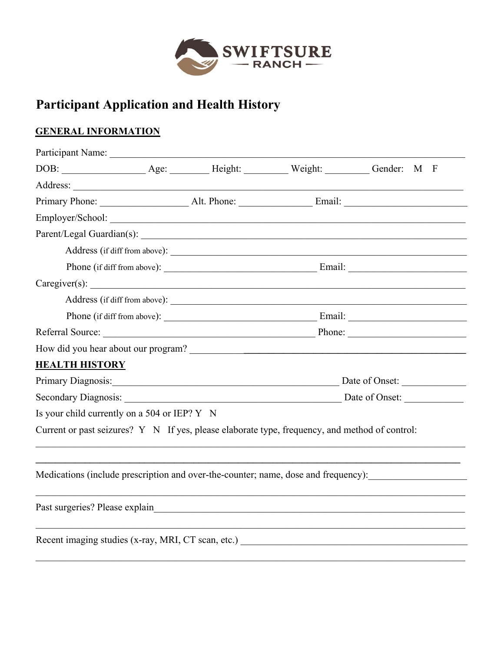

# **Participant Application and Health History**

## **GENERAL INFORMATION**

| Participant Name:                                                                              |  |  |                               |                                                                                    |  |  |
|------------------------------------------------------------------------------------------------|--|--|-------------------------------|------------------------------------------------------------------------------------|--|--|
|                                                                                                |  |  |                               | $\mathbf{F}$                                                                       |  |  |
|                                                                                                |  |  |                               |                                                                                    |  |  |
|                                                                                                |  |  |                               |                                                                                    |  |  |
|                                                                                                |  |  |                               |                                                                                    |  |  |
|                                                                                                |  |  |                               |                                                                                    |  |  |
|                                                                                                |  |  | Address (if diff from above): |                                                                                    |  |  |
|                                                                                                |  |  |                               |                                                                                    |  |  |
|                                                                                                |  |  |                               | Caregiver(s):                                                                      |  |  |
|                                                                                                |  |  |                               |                                                                                    |  |  |
|                                                                                                |  |  |                               |                                                                                    |  |  |
|                                                                                                |  |  |                               |                                                                                    |  |  |
| How did you hear about our program?                                                            |  |  |                               |                                                                                    |  |  |
| <b>HEALTH HISTORY</b>                                                                          |  |  |                               |                                                                                    |  |  |
|                                                                                                |  |  |                               | Date of Onset:                                                                     |  |  |
|                                                                                                |  |  |                               |                                                                                    |  |  |
| Is your child currently on a 504 or IEP? Y N                                                   |  |  |                               |                                                                                    |  |  |
| Current or past seizures? Y N If yes, please elaborate type, frequency, and method of control: |  |  |                               |                                                                                    |  |  |
|                                                                                                |  |  |                               | Medications (include prescription and over-the-counter; name, dose and frequency): |  |  |
|                                                                                                |  |  |                               |                                                                                    |  |  |
| Recent imaging studies (x-ray, MRI, CT scan, etc.)                                             |  |  |                               |                                                                                    |  |  |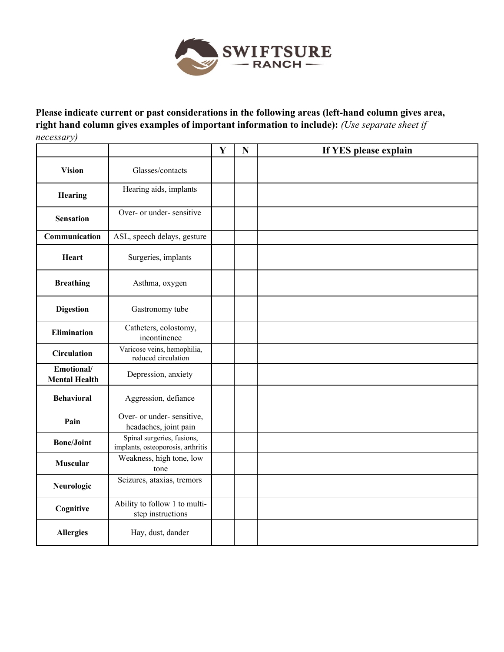

**Please indicate current or past considerations in the following areas (left-hand column gives area, right hand column gives examples of important information to include):** *(Use separate sheet if necessary)*

|                                    |                                                                 | $\mathbf{Y}$ | N | If YES please explain |
|------------------------------------|-----------------------------------------------------------------|--------------|---|-----------------------|
| <b>Vision</b>                      | Glasses/contacts                                                |              |   |                       |
| Hearing                            | Hearing aids, implants                                          |              |   |                       |
| <b>Sensation</b>                   | Over- or under- sensitive                                       |              |   |                       |
| Communication                      | ASL, speech delays, gesture                                     |              |   |                       |
| <b>Heart</b>                       | Surgeries, implants                                             |              |   |                       |
| <b>Breathing</b>                   | Asthma, oxygen                                                  |              |   |                       |
| <b>Digestion</b>                   | Gastronomy tube                                                 |              |   |                       |
| <b>Elimination</b>                 | Catheters, colostomy,<br>incontinence                           |              |   |                       |
| <b>Circulation</b>                 | Varicose veins, hemophilia,<br>reduced circulation              |              |   |                       |
| Emotional/<br><b>Mental Health</b> | Depression, anxiety                                             |              |   |                       |
| <b>Behavioral</b>                  | Aggression, defiance                                            |              |   |                       |
| Pain                               | Over- or under- sensitive,<br>headaches, joint pain             |              |   |                       |
| <b>Bone/Joint</b>                  | Spinal surgeries, fusions,<br>implants, osteoporosis, arthritis |              |   |                       |
| <b>Muscular</b>                    | Weakness, high tone, low<br>tone                                |              |   |                       |
| Neurologic                         | Seizures, ataxias, tremors                                      |              |   |                       |
| Cognitive                          | Ability to follow 1 to multi-<br>step instructions              |              |   |                       |
| <b>Allergies</b>                   | Hay, dust, dander                                               |              |   |                       |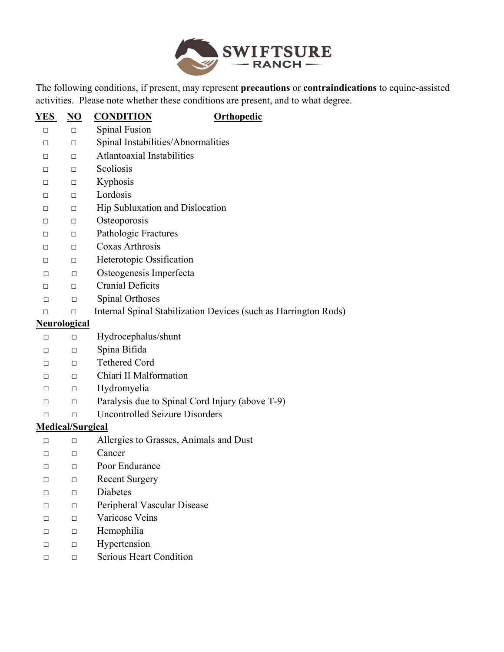

The following conditions, if present, may represent **precautions** or **contraindications** to equine-assisted activities. Please note whether these conditions are present, and to what degree.

| <u>YES</u> | <u>NO</u>               | <b>CONDITION</b><br><b>Orthopedic</b>                           |
|------------|-------------------------|-----------------------------------------------------------------|
| □          | $\Box$                  | Spinal Fusion                                                   |
| $\Box$     | □                       | Spinal Instabilities/Abnormalities                              |
| $\Box$     | □                       | Atlantoaxial Instabilities                                      |
| $\Box$     | □                       | Scoliosis                                                       |
| $\Box$     | □                       | Kyphosis                                                        |
| $\Box$     | □                       | Lordosis                                                        |
| $\Box$     | □                       | Hip Subluxation and Dislocation                                 |
| $\Box$     | $\Box$                  | Osteoporosis                                                    |
| $\Box$     | $\Box$                  | Pathologic Fractures                                            |
| $\Box$     | $\Box$                  | Coxas Arthrosis                                                 |
| $\Box$     | $\Box$                  | Heterotopic Ossification                                        |
| $\Box$     | □                       | Osteogenesis Imperfecta                                         |
| $\Box$     | $\Box$                  | <b>Cranial Deficits</b>                                         |
| П          | □                       | Spinal Orthoses                                                 |
| $\Box$     | □                       | Internal Spinal Stabilization Devices (such as Harrington Rods) |
|            | <b>Neurological</b>     |                                                                 |
| $\Box$     | $\Box$                  | Hydrocephalus/shunt                                             |
| $\Box$     | □                       | Spina Bifida                                                    |
| $\Box$     | $\Box$                  | <b>Tethered Cord</b>                                            |
| $\Box$     | □                       | Chiari II Malformation                                          |
| $\Box$     | □                       | Hydromyelia                                                     |
| □          | □                       | Paralysis due to Spinal Cord Injury (above T-9)                 |
| П          | П                       | <b>Uncontrolled Seizure Disorders</b>                           |
|            | <b>Medical/Surgical</b> |                                                                 |
| □          | $\Box$                  | Allergies to Grasses, Animals and Dust                          |
| П          | □                       | Cancer                                                          |
| $\Box$     | $\Box$                  | Poor Endurance                                                  |
| $\Box$     | □                       | <b>Recent Surgery</b>                                           |
| □          | $\Box$                  | Diabetes                                                        |
| □          | □                       | Peripheral Vascular Disease                                     |
| $\Box$     | □                       | Varicose Veins                                                  |
| $\Box$     | □                       | Hemophilia                                                      |
| $\Box$     | □                       | Hypertension                                                    |
| □          | □                       | <b>Serious Heart Condition</b>                                  |
|            |                         |                                                                 |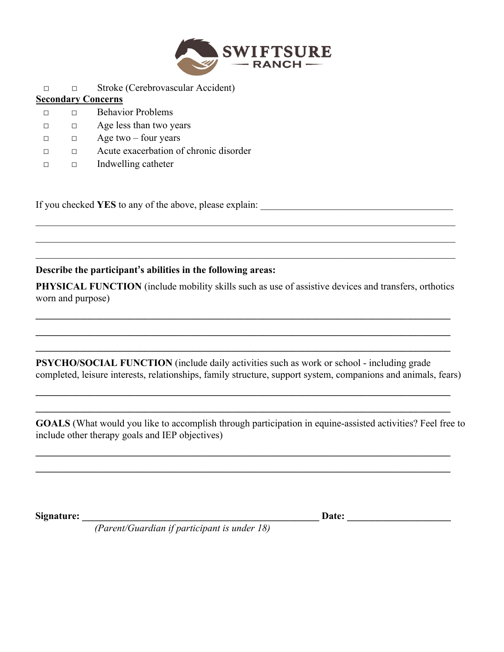

|   | $Su$ one (Servero), assumed the stational |
|---|-------------------------------------------|
|   | <b>Secondary Concerns</b>                 |
|   | <b>Behavior Problems</b>                  |
|   | Age less than two years                   |
| п | Age two $-$ four years                    |
|   | Acute exacerbation of chronic disorder    |
|   | Indwelling catheter                       |

□ □ Stroke (Cerebrovascular Accident)

If you checked **YES** to any of the above, please explain:

#### **Describe the participant's abilities in the following areas:**

**PHYSICAL FUNCTION** (include mobility skills such as use of assistive devices and transfers, orthotics worn and purpose)

**\_\_\_\_\_\_\_\_\_\_\_\_\_\_\_\_\_\_\_\_\_\_\_\_\_\_\_\_\_\_\_\_\_\_\_\_\_\_\_\_\_\_\_\_\_\_\_\_\_\_\_\_\_\_\_\_\_\_\_\_\_\_\_\_\_\_\_\_\_\_\_\_\_\_\_\_\_\_\_\_\_\_\_\_**   $\mathcal{L}_\mathcal{L} = \{ \mathcal{L}_\mathcal{L} = \{ \mathcal{L}_\mathcal{L} = \{ \mathcal{L}_\mathcal{L} = \{ \mathcal{L}_\mathcal{L} = \{ \mathcal{L}_\mathcal{L} = \{ \mathcal{L}_\mathcal{L} = \{ \mathcal{L}_\mathcal{L} = \{ \mathcal{L}_\mathcal{L} = \{ \mathcal{L}_\mathcal{L} = \{ \mathcal{L}_\mathcal{L} = \{ \mathcal{L}_\mathcal{L} = \{ \mathcal{L}_\mathcal{L} = \{ \mathcal{L}_\mathcal{L} = \{ \mathcal{L}_\mathcal{$ **\_\_\_\_\_\_\_\_\_\_\_\_\_\_\_\_\_\_\_\_\_\_\_\_\_\_\_\_\_\_\_\_\_\_\_\_\_\_\_\_\_\_\_\_\_\_\_\_\_\_\_\_\_\_\_\_\_\_\_\_\_\_\_\_\_\_\_\_\_\_\_\_\_\_\_\_\_\_\_\_\_\_\_\_** 

 $\_$  , and the set of the set of the set of the set of the set of the set of the set of the set of the set of the set of the set of the set of the set of the set of the set of the set of the set of the set of the set of th

**PSYCHO/SOCIAL FUNCTION** (include daily activities such as work or school - including grade completed, leisure interests, relationships, family structure, support system, companions and animals, fears)

**\_\_\_\_\_\_\_\_\_\_\_\_\_\_\_\_\_\_\_\_\_\_\_\_\_\_\_\_\_\_\_\_\_\_\_\_\_\_\_\_\_\_\_\_\_\_\_\_\_\_\_\_\_\_\_\_\_\_\_\_\_\_\_\_\_\_\_\_\_\_\_\_\_\_\_\_\_\_\_\_\_\_\_\_ \_\_\_\_\_\_\_\_\_\_\_\_\_\_\_\_\_\_\_\_\_\_\_\_\_\_\_\_\_\_\_\_\_\_\_\_\_\_\_\_\_\_\_\_\_\_\_\_\_\_\_\_\_\_\_\_\_\_\_\_\_\_\_\_\_\_\_\_\_\_\_\_\_\_\_\_\_\_\_\_\_\_\_\_** 

**GOALS** (What would you like to accomplish through participation in equine-assisted activities? Feel free to include other therapy goals and IEP objectives)

 $\mathcal{L}_\mathcal{L} = \{ \mathcal{L}_\mathcal{L} = \{ \mathcal{L}_\mathcal{L} = \{ \mathcal{L}_\mathcal{L} = \{ \mathcal{L}_\mathcal{L} = \{ \mathcal{L}_\mathcal{L} = \{ \mathcal{L}_\mathcal{L} = \{ \mathcal{L}_\mathcal{L} = \{ \mathcal{L}_\mathcal{L} = \{ \mathcal{L}_\mathcal{L} = \{ \mathcal{L}_\mathcal{L} = \{ \mathcal{L}_\mathcal{L} = \{ \mathcal{L}_\mathcal{L} = \{ \mathcal{L}_\mathcal{L} = \{ \mathcal{L}_\mathcal{$ **\_\_\_\_\_\_\_\_\_\_\_\_\_\_\_\_\_\_\_\_\_\_\_\_\_\_\_\_\_\_\_\_\_\_\_\_\_\_\_\_\_\_\_\_\_\_\_\_\_\_\_\_\_\_\_\_\_\_\_\_\_\_\_\_\_\_\_\_\_\_\_\_\_\_\_\_\_\_\_\_\_\_\_\_** 

**Signature: \_\_\_\_\_\_\_\_\_\_\_\_\_\_\_\_\_\_\_\_\_\_\_\_\_\_\_\_\_\_\_\_\_\_\_\_\_\_\_\_\_\_\_\_\_\_\_\_ Date: \_\_\_\_\_\_\_\_\_\_\_\_\_\_\_\_\_\_\_\_\_** 

*(Parent/Guardian if participant is under 18)*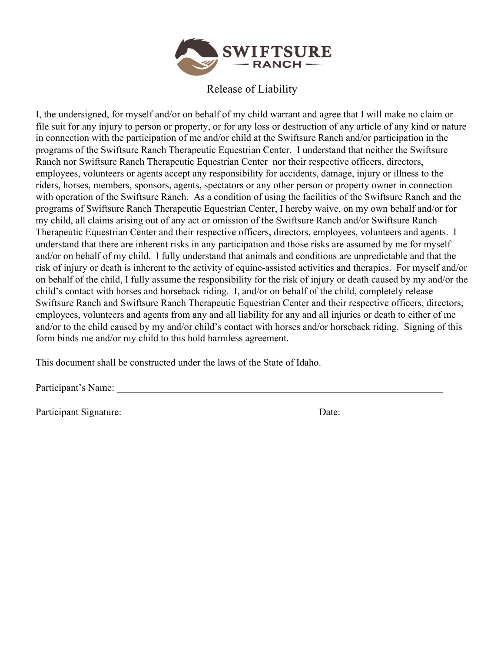

#### Release of Liability

I, the undersigned, for myself and/or on behalf of my child warrant and agree that I will make no claim or file suit for any injury to person or property, or for any loss or destruction of any article of any kind or nature in connection with the participation of me and/or child at the Swiftsure Ranch and/or participation in the programs of the Swiftsure Ranch Therapeutic Equestrian Center. I understand that neither the Swiftsure Ranch nor Swiftsure Ranch Therapeutic Equestrian Center nor their respective officers, directors, employees, volunteers or agents accept any responsibility for accidents, damage, injury or illness to the riders, horses, members, sponsors, agents, spectators or any other person or property owner in connection with operation of the Swiftsure Ranch. As a condition of using the facilities of the Swiftsure Ranch and the programs of Swiftsure Ranch Therapeutic Equestrian Center, I hereby waive, on my own behalf and/or for my child, all claims arising out of any act or omission of the Swiftsure Ranch and/or Swiftsure Ranch Therapeutic Equestrian Center and their respective officers, directors, employees, volunteers and agents. I understand that there are inherent risks in any participation and those risks are assumed by me for myself and/or on behalf of my child. I fully understand that animals and conditions are unpredictable and that the risk of injury or death is inherent to the activity of equine-assisted activities and therapies. For myself and/or on behalf of the child, I fully assume the responsibility for the risk of injury or death caused by my and/or the child's contact with horses and horseback riding. I, and/or on behalf of the child, completely release Swiftsure Ranch and Swiftsure Ranch Therapeutic Equestrian Center and their respective officers, directors, employees, volunteers and agents from any and all liability for any and all injuries or death to either of me and/or to the child caused by my and/or child's contact with horses and/or horseback riding. Signing of this form binds me and/or my child to this hold harmless agreement.

This document shall be constructed under the laws of the State of Idaho.

Participant's Name: \_\_\_\_\_\_\_\_\_\_\_\_\_\_\_\_\_\_\_\_\_\_\_\_\_\_\_\_\_\_\_\_\_\_\_\_\_\_\_\_\_\_\_\_\_\_\_\_\_\_\_\_\_\_\_\_\_\_\_\_\_\_\_\_\_\_

Participant Signature: \_\_\_\_\_\_\_\_\_\_\_\_\_\_\_\_\_\_\_\_\_\_\_\_\_\_\_\_\_\_\_\_\_\_\_\_\_\_\_ Date: \_\_\_\_\_\_\_\_\_\_\_\_\_\_\_\_\_\_\_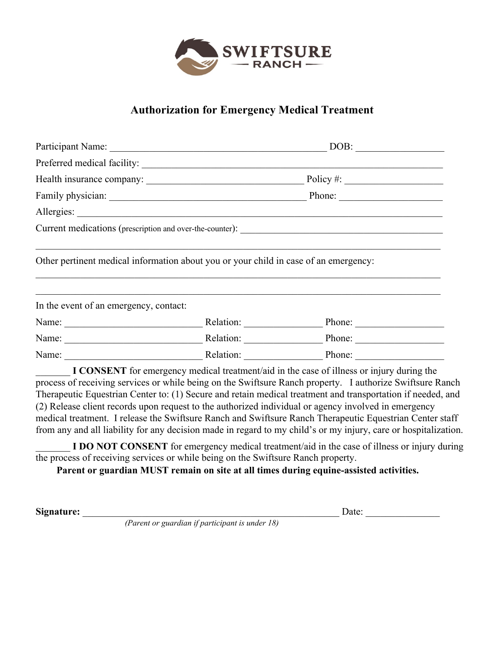

### **Authorization for Emergency Medical Treatment**

|                                        |                                                                                                                                                                                                                                                                                                                       | DOB: |  |
|----------------------------------------|-----------------------------------------------------------------------------------------------------------------------------------------------------------------------------------------------------------------------------------------------------------------------------------------------------------------------|------|--|
|                                        |                                                                                                                                                                                                                                                                                                                       |      |  |
|                                        |                                                                                                                                                                                                                                                                                                                       |      |  |
|                                        |                                                                                                                                                                                                                                                                                                                       |      |  |
|                                        |                                                                                                                                                                                                                                                                                                                       |      |  |
|                                        |                                                                                                                                                                                                                                                                                                                       |      |  |
| In the event of an emergency, contact: |                                                                                                                                                                                                                                                                                                                       |      |  |
|                                        | Name: Name: Name: Name: Nelation: Name: Nelation: Name: Name: Name: Name: Name: Name: Name: Name: Name: Name: Name: Name: Name: Name: Name: Name: Name: Name: Name: Name: Name: Name: Name: Name: Name: Name: Name: Name: Name                                                                                        |      |  |
|                                        | Name: Name: Name: Name: Name: Name: Name: Name: Name: Name: Name: Name: Name: Name: Name: Name: Name: Name: Name: Name: Name: Name: Name: Name: Name: Name: Name: Name: Name: Name: Name: Name: Name: Name: Name: Name: Name:                                                                                         |      |  |
|                                        | Name: Name: Name: Name: Name: Name: Name: Name: Name: Name: Name: Name: Name: Name: Name: Name: Name: Name: Name: Name: Name: Name: Name: Name: Name: Name: Name: Name: Name: Name: Name: Name: Name: Name: Name: Name: Name:                                                                                         |      |  |
|                                        | I CONSENT for emergency medical treatment/aid in the case of illness or injury during the<br>process of receiving services or while being on the Swiftsure Ranch property. I authorize Swiftsure Ranch<br>Therapeutic Equestrian Center to: (1) Secure and retain medical treatment and transportation if needed, and |      |  |

(2) Release client records upon request to the authorized individual or agency involved in emergency medical treatment. I release the Swiftsure Ranch and Swiftsure Ranch Therapeutic Equestrian Center staff from any and all liability for any decision made in regard to my child's or my injury, care or hospitalization.

**I DO NOT CONSENT** for emergency medical treatment/aid in the case of illness or injury during the process of receiving services or while being on the Swiftsure Ranch property.

**Parent or guardian MUST remain on site at all times during equine-assisted activities.** 

**Signature:** \_\_\_\_\_\_\_\_\_\_\_\_\_\_\_\_\_\_\_\_\_\_\_\_\_\_\_\_\_\_\_\_\_\_\_\_\_\_\_\_\_\_\_\_\_\_\_\_\_\_\_\_ Date: \_\_\_\_\_\_\_\_\_\_\_\_\_\_\_

*(Parent or guardian if participant is under 18)*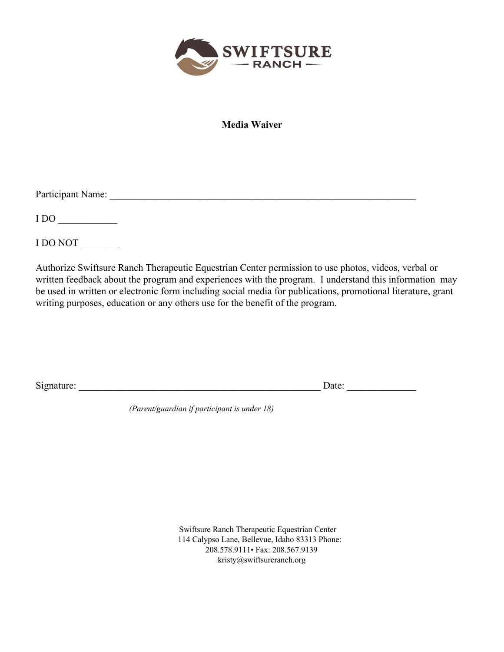

**Media Waiver**

Participant Name: \_\_\_\_\_\_\_\_\_\_\_\_\_\_\_\_\_\_\_\_\_\_\_\_\_\_\_\_\_\_\_\_\_\_\_\_\_\_\_\_\_\_\_\_\_\_\_\_\_\_\_\_\_\_\_\_\_\_\_\_\_\_

 $1 \text{ DO}$ 

I DO NOT \_\_\_\_\_\_\_\_

Authorize Swiftsure Ranch Therapeutic Equestrian Center permission to use photos, videos, verbal or written feedback about the program and experiences with the program. I understand this information may be used in written or electronic form including social media for publications, promotional literature, grant writing purposes, education or any others use for the benefit of the program.

Signature: \_\_\_\_\_\_\_\_\_\_\_\_\_\_\_\_\_\_\_\_\_\_\_\_\_\_\_\_\_\_\_\_\_\_\_\_\_\_\_\_\_\_\_\_\_\_\_\_\_ Date: \_\_\_\_\_\_\_\_\_\_\_\_\_\_

*(Parent/guardian if participant is under 18)* 

 Swiftsure Ranch Therapeutic Equestrian Center 114 Calypso Lane, Bellevue, Idaho 83313 Phone: 208.578.9111• Fax: 208.567.9139 kristy@swiftsureranch.org